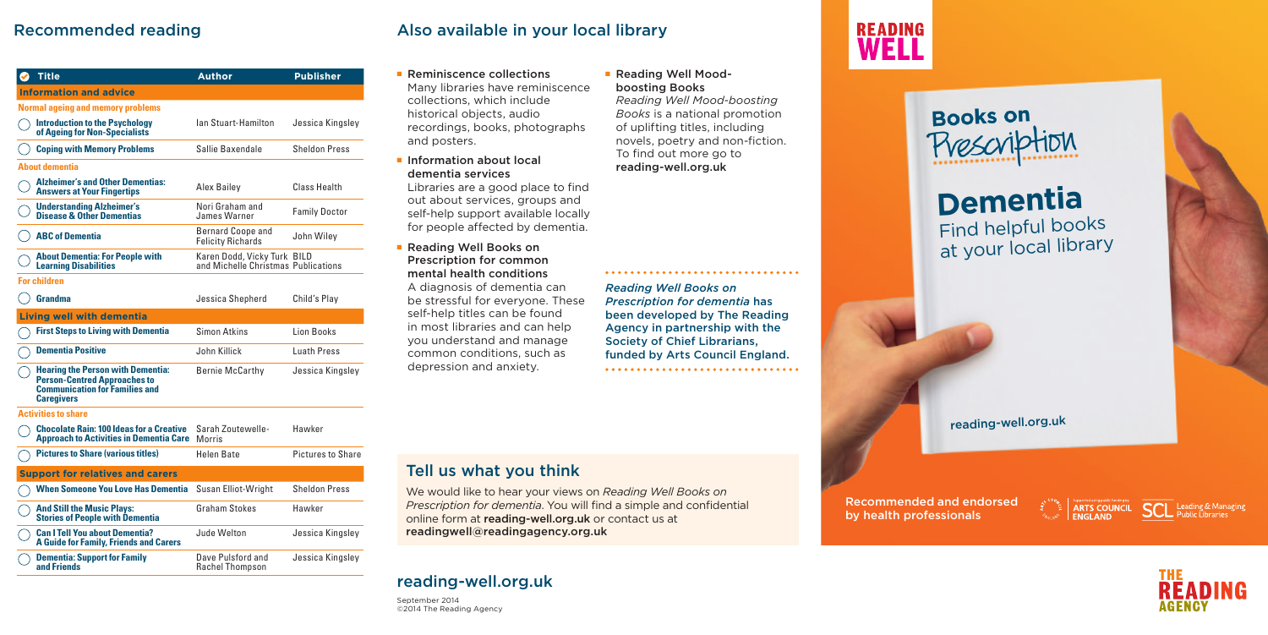#### ■ Reminiscence collections Many libraries have reminiscence collections, which include historical objects, audio recordings, books, photographs and posters.

■ Information about local dementia services

## ■ Reading Well Books on Prescription for common mental health conditions A diagnosis of dementia can

Libraries are a good place to find out about services, groups and self-help support available locally for people affected by dementia.

be stressful for everyone. These self-help titles can be found in most libraries and can help you understand and manage common conditions, such as depression and anxiety.

## ■ Reading Well Moodboosting Books

| Title                                                                                                                                         | <b>Author</b>                                                      | <b>Publisher</b>         |
|-----------------------------------------------------------------------------------------------------------------------------------------------|--------------------------------------------------------------------|--------------------------|
| <b>Information and advice</b>                                                                                                                 |                                                                    |                          |
| <b>Normal ageing and memory problems</b>                                                                                                      |                                                                    |                          |
| <b>Introduction to the Psychology</b><br>of Ageing for Non-Specialists                                                                        | Ian Stuart-Hamilton                                                | Jessica Kingsley         |
| <b>Coping with Memory Problems</b>                                                                                                            | Sallie Baxendale                                                   | <b>Sheldon Press</b>     |
| About dementia                                                                                                                                |                                                                    |                          |
| <b>Alzheimer's and Other Dementias:</b><br><b>Answers at Your Fingertips</b>                                                                  | Alex Bailey                                                        | Class Health             |
| <b>Understanding Alzheimer's</b><br><b>Disease &amp; Other Dementias</b>                                                                      | Nori Graham and<br>James Warner                                    | <b>Family Doctor</b>     |
| <b>ABC of Dementia</b>                                                                                                                        | <b>Bernard Coope and</b><br><b>Felicity Richards</b>               | John Wiley               |
| <b>About Dementia: For People with</b><br><b>Learning Disabilities</b>                                                                        | Karen Dodd, Vicky Turk BILD<br>and Michelle Christmas Publications |                          |
| <b>For children</b>                                                                                                                           |                                                                    |                          |
| Grandma                                                                                                                                       | Jessica Shepherd                                                   | Child's Play             |
| <b>Living well with dementia</b>                                                                                                              |                                                                    |                          |
| <b>First Steps to Living with Dementia</b>                                                                                                    | <b>Simon Atkins</b>                                                | Lion Books               |
| <b>Dementia Positive</b>                                                                                                                      | John Killick                                                       | <b>Luath Press</b>       |
| <b>Hearing the Person with Dementia:</b><br><b>Person-Centred Approaches to</b><br><b>Communication for Families and</b><br><b>Caregivers</b> | Bernie McCarthy                                                    | Jessica Kingsley         |
| <b>Activities to share</b>                                                                                                                    |                                                                    |                          |
| <b>Chocolate Rain: 100 Ideas for a Creative</b><br><b>Approach to Activities in Dementia Care</b>                                             | Sarah Zoutewelle-<br>Morris                                        | Hawker                   |
| <b>Pictures to Share (various titles)</b>                                                                                                     | Helen Bate                                                         | <b>Pictures to Share</b> |
| <b>Support for relatives and carers</b>                                                                                                       |                                                                    |                          |
| <b>When Someone You Love Has Dementia</b>                                                                                                     | Susan Elliot-Wright                                                | Sheldon Press            |
| <b>And Still the Music Plays:</b><br><b>Stories of People with Dementia</b>                                                                   | Graham Stokes                                                      | Hawker                   |
| <b>Can I Tell You about Dementia?</b><br><b>A Guide for Family, Friends and Carers</b>                                                        | Jude Welton                                                        | Jessica Kingsley         |
| <b>Dementia: Support for Family</b><br>and Friends                                                                                            | Dave Pulsford and<br>Rachel Thompson                               | Jessica Kingsley         |

# Recommended reading



We would like to hear your views on *Reading Well Books on Prescription for dementia*. You will find a simple and confidential online form at reading-well.org.uk or contact us at readingwell@readingagency.org.uk

*Reading Well Mood-boosting Books* is a national promotion of uplifting titles, including novels, poetry and non-fiction. To find out more go to reading-well.org.uk

## Also available in your local library

# reading-well.org.uk

September 2014 ©2014 The Reading Agency

*Reading Well Books on Prescription for dementia* has been developed by The Reading Agency in partnership with the Society of Chief Librarians, funded by Arts Council England.



# **Dementia** Find helpful books at your local library

reading-well.org.uk







**SCL** Leading & Managing



Recommended and endorsed by health professionals

# **READING** WELL

# **Books on**